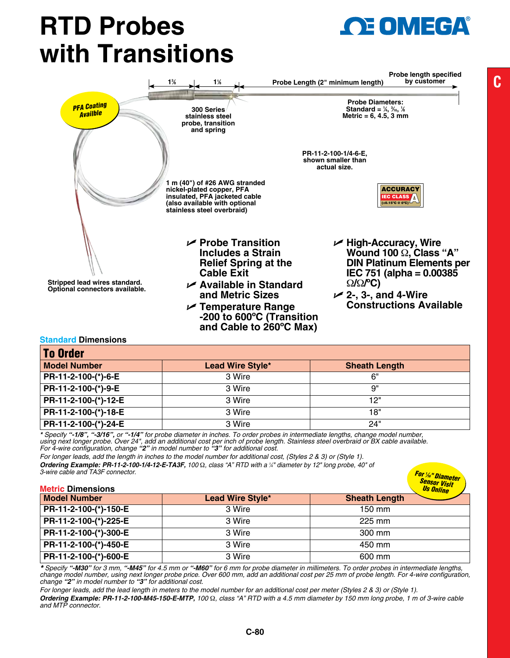## **RTD Probes with Transitions**



## **Standard Dimensions**

| <b>To Order</b>      |                         |                      |
|----------------------|-------------------------|----------------------|
| <b>Model Number</b>  | <b>Lead Wire Style*</b> | <b>Sheath Length</b> |
| PR-11-2-100-(*)-6-E  | 3 Wire                  | 6"                   |
| PR-11-2-100-(*)-9-E  | 3 Wire                  | 9"                   |
| PR-11-2-100-(*)-12-E | 3 Wire                  | 12"                  |
| PR-11-2-100-(*)-18-E | 3 Wire                  | 18"                  |
| PR-11-2-100-(*)-24-E | 3 Wire                  | 24"                  |

**and Cable to 260ºC Max)**

*\* Specify "-1/8", "-3/16", or "-1/4" for probe diameter in inches. To order probes in intermediate lengths, change model number,*  using next longer probe. Over 24", add an additional cost per inch of probe length. Stainless steel overbraid or BX cable available.<br>For 4-wire configuration, change "**2**" in model number to "**3**" for additional cost.

*For longer leads, add the length in inches to the model number for additional cost, (Styles 2 & 3) or (Style 1). Ordering Example: PR-11-2-100-1/4-12-E-TA3F, 100* Ω*, class "A" RTD with a 1 ⁄4" diameter by 12" long probe, 40" of 3-wire cable and TA3F connector.*

| 3-wire capie and TA3F connector.<br><b>Metric Dimensions</b> |                  | <b>For 1/6" Diameter<br/>Sensor Visit<br/>Us Online</b> |
|--------------------------------------------------------------|------------------|---------------------------------------------------------|
| <b>Model Number</b>                                          | Lead Wire Style* | <b>Sheath Length</b>                                    |
| PR-11-2-100-(*)-150-E                                        | 3 Wire           | 150 mm                                                  |
| PR-11-2-100-(*)-225-E                                        | 3 Wire           | 225 mm                                                  |
| PR-11-2-100-(*)-300-E                                        | 3 Wire           | 300 mm                                                  |
| PR-11-2-100-(*)-450-E                                        | 3 Wire           | 450 mm                                                  |
| PR-11-2-100-(*)-600-E                                        | 3 Wire           | 600 mm                                                  |

*\* Specify "-M30" for 3 mm, "-M45" for 4.5 mm or "-M60" for 6 mm for probe diameter in millimeters. To order probes in intermediate lengths, change model number, using next longer probe price. Over 600 mm, add an additional cost per 25 mm of probe length. For 4-wire configuration, change "2" in model number to "3" for additional cost.*

*For longer leads, add the lead length in meters to the model number for an additional cost per meter (Styles 2 & 3) or (Style 1). Ordering Example: PR-11-2-100-M45-150-E-MTP, 100* Ω*, class "A" RTD with a 4.5 mm diameter by 150 mm long probe, 1 m of 3-wire cable and MTP connector.*

**E OMEGA**